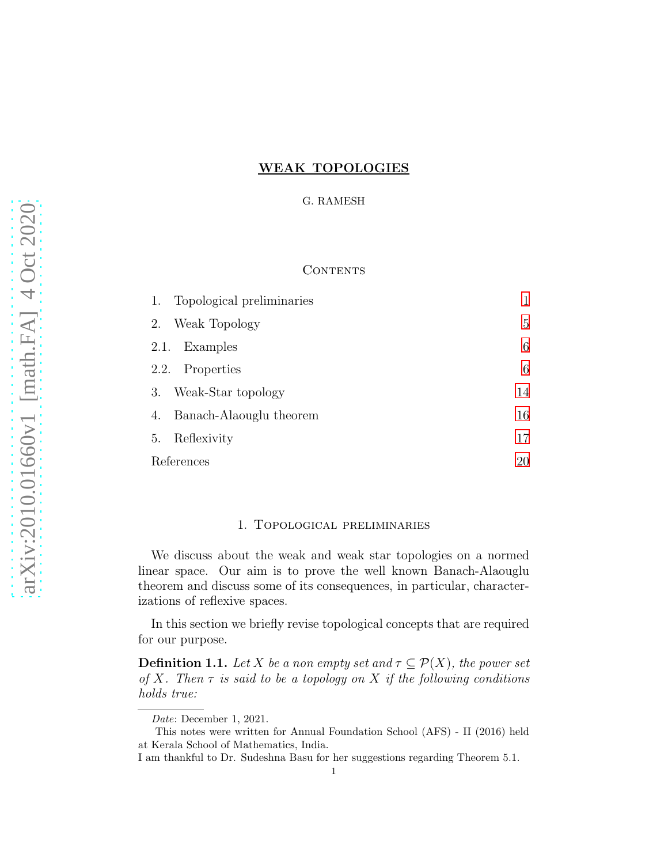## WEAK TOPOLOGIES

### G. RAMESH

# **CONTENTS**

| Topological preliminaries<br>1. |    |
|---------------------------------|----|
| Weak Topology<br>2.             | 5  |
| Examples<br>2.1.                | 6  |
| 2.2. Properties                 | 6  |
| Weak-Star topology<br>3.        | 14 |
| Banach-Alaouglu theorem<br>4.   | 16 |
| Reflexivity<br>5.               | 17 |
| References                      | 20 |

## 1. Topological preliminaries

<span id="page-0-0"></span>We discuss about the weak and weak star topologies on a normed linear space. Our aim is to prove the well known Banach-Alaouglu theorem and discuss some of its consequences, in particular, characterizations of reflexive spaces.

In this section we briefly revise topological concepts that are required for our purpose.

**Definition 1.1.** Let X be a non empty set and  $\tau \subseteq \mathcal{P}(X)$ , the power set of X. Then  $\tau$  is said to be a topology on X if the following conditions holds true:

Date: December 1, 2021.

This notes were written for Annual Foundation School (AFS) - II (2016) held at Kerala School of Mathematics, India.

I am thankful to Dr. Sudeshna Basu for her suggestions regarding Theorem 5.1.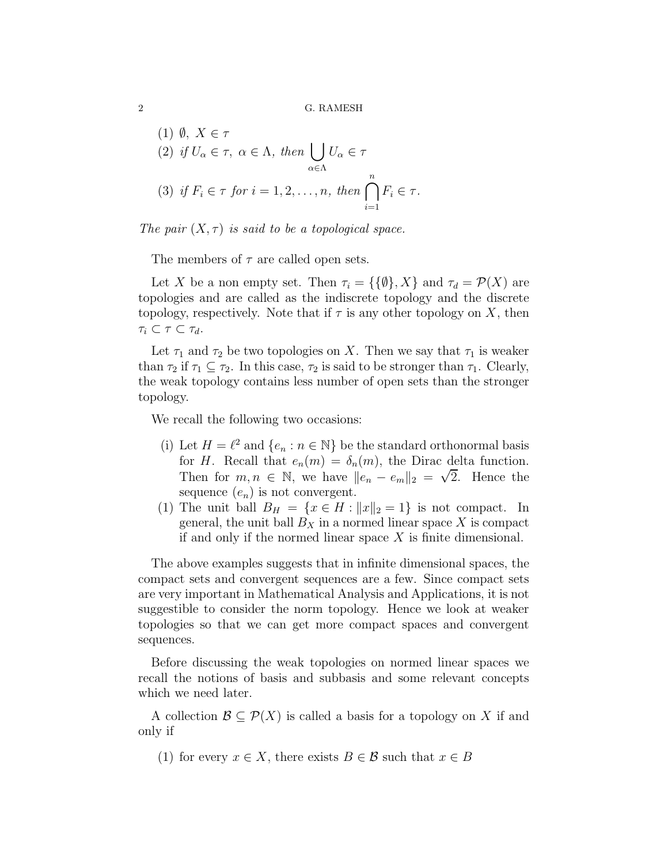(1) 
$$
\emptyset
$$
,  $X \in \tau$   
\n(2) if  $U_{\alpha} \in \tau$ ,  $\alpha \in \Lambda$ , then  $\bigcup_{\alpha \in \Lambda} U_{\alpha} \in \tau$   
\n(3) if  $F_i \in \tau$  for  $i = 1, 2, ..., n$ , then  $\bigcap_{i=1}^{n} F_i \in \tau$ .



The members of  $\tau$  are called open sets.

Let X be a non empty set. Then  $\tau_i = {\{\{\emptyset\}, X\}}$  and  $\tau_d = \mathcal{P}(X)$  are topologies and are called as the indiscrete topology and the discrete topology, respectively. Note that if  $\tau$  is any other topology on X, then  $\tau_i \subset \tau \subset \tau_d.$ 

Let  $\tau_1$  and  $\tau_2$  be two topologies on X. Then we say that  $\tau_1$  is weaker than  $\tau_2$  if  $\tau_1 \subseteq \tau_2$ . In this case,  $\tau_2$  is said to be stronger than  $\tau_1$ . Clearly, the weak topology contains less number of open sets than the stronger topology.

We recall the following two occasions:

- (i) Let  $H = \ell^2$  and  $\{e_n : n \in \mathbb{N}\}\)$  be the standard orthonormal basis for H. Recall that  $e_n(m) = \delta_n(m)$ , the Dirac delta function. Then for  $m, n \in \mathbb{N}$ , we have  $||e_n - e_m||_2 = \sqrt{2}$ . Hence the sequence  $(e_n)$  is not convergent.
- (1) The unit ball  $B_H = \{x \in H : ||x||_2 = 1\}$  is not compact. In general, the unit ball  $B_X$  in a normed linear space X is compact if and only if the normed linear space  $X$  is finite dimensional.

The above examples suggests that in infinite dimensional spaces, the compact sets and convergent sequences are a few. Since compact sets are very important in Mathematical Analysis and Applications, it is not suggestible to consider the norm topology. Hence we look at weaker topologies so that we can get more compact spaces and convergent sequences.

Before discussing the weak topologies on normed linear spaces we recall the notions of basis and subbasis and some relevant concepts which we need later.

A collection  $\mathcal{B} \subset \mathcal{P}(X)$  is called a basis for a topology on X if and only if

(1) for every  $x \in X$ , there exists  $B \in \mathcal{B}$  such that  $x \in B$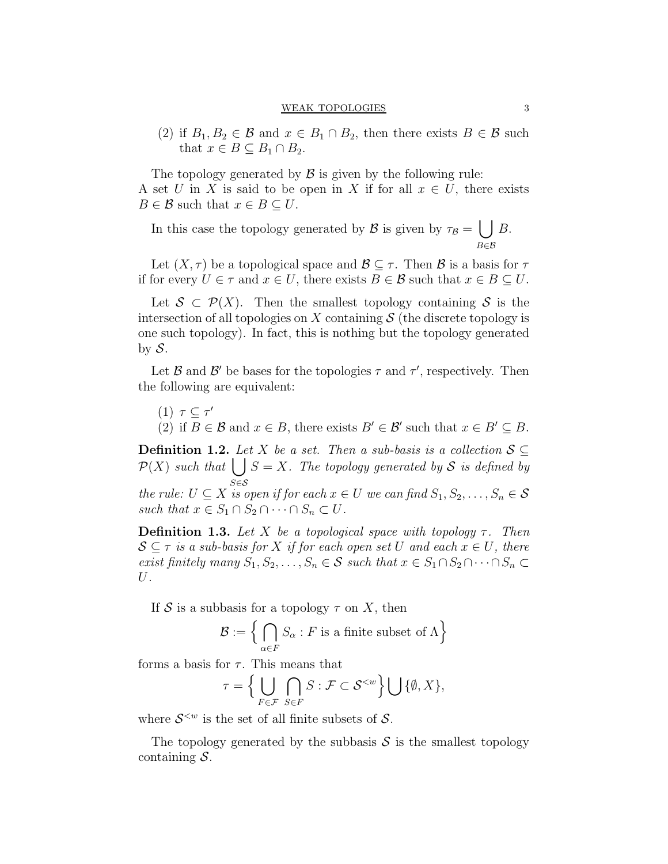(2) if  $B_1, B_2 \in \mathcal{B}$  and  $x \in B_1 \cap B_2$ , then there exists  $B \in \mathcal{B}$  such that  $x \in B \subseteq B_1 \cap B_2$ .

The topology generated by  $\beta$  is given by the following rule: A set U in X is said to be open in X if for all  $x \in U$ , there exists  $B \in \mathcal{B}$  such that  $x \in B \subseteq U$ .

In this case the topology generated by  $\mathcal{B}$  is given by  $\tau_{\mathcal{B}} = \bigcup B$ . B∈B

Let  $(X, \tau)$  be a topological space and  $\mathcal{B} \subset \tau$ . Then  $\mathcal{B}$  is a basis for  $\tau$ if for every  $U \in \tau$  and  $x \in U$ , there exists  $B \in \mathcal{B}$  such that  $x \in B \subseteq U$ .

Let  $S \subset \mathcal{P}(X)$ . Then the smallest topology containing S is the intersection of all topologies on X containing  $\mathcal S$  (the discrete topology is one such topology). In fact, this is nothing but the topology generated by  $S$ .

Let  $\mathcal B$  and  $\mathcal B'$  be bases for the topologies  $\tau$  and  $\tau'$ , respectively. Then the following are equivalent:

(1)  $τ ⊆ τ'$ (2) if  $B \in \mathcal{B}$  and  $x \in B$ , there exists  $B' \in \mathcal{B}'$  such that  $x \in B' \subseteq B$ .

**Definition 1.2.** Let X be a set. Then a sub-basis is a collection  $S \subseteq$  $\mathcal{P}(X)$  such that  $\bigcup S = X$ . The topology generated by S is defined by S∈S

the rule:  $U \subseteq X$  is open if for each  $x \in U$  we can find  $S_1, S_2, \ldots, S_n \in \mathcal{S}$ such that  $x \in S_1 \cap S_2 \cap \cdots \cap S_n \subset U$ .

**Definition 1.3.** Let X be a topological space with topology  $\tau$ . Then  $S \subseteq \tau$  is a sub-basis for X if for each open set U and each  $x \in U$ , there exist finitely many  $S_1, S_2, \ldots, S_n \in \mathcal{S}$  such that  $x \in S_1 \cap S_2 \cap \cdots \cap S_n \subset$ U.

If S is a subbasis for a topology  $\tau$  on X, then

$$
\mathcal{B}:=\Big\{\bigcap_{\alpha\in F}S_\alpha: F\text{ is a finite subset of }\Lambda\Big\}
$$

forms a basis for  $\tau$ . This means that

$$
\tau = \Big\{ \bigcup_{F \in \mathcal{F}} \bigcap_{S \in F} S : \mathcal{F} \subset \mathcal{S}^{< w} \Big\} \bigcup \{\emptyset, X\},\
$$

where  $\mathcal{S}^{< w}$  is the set of all finite subsets of  $\mathcal{S}$ .

The topology generated by the subbasis  $S$  is the smallest topology containing  $S$ .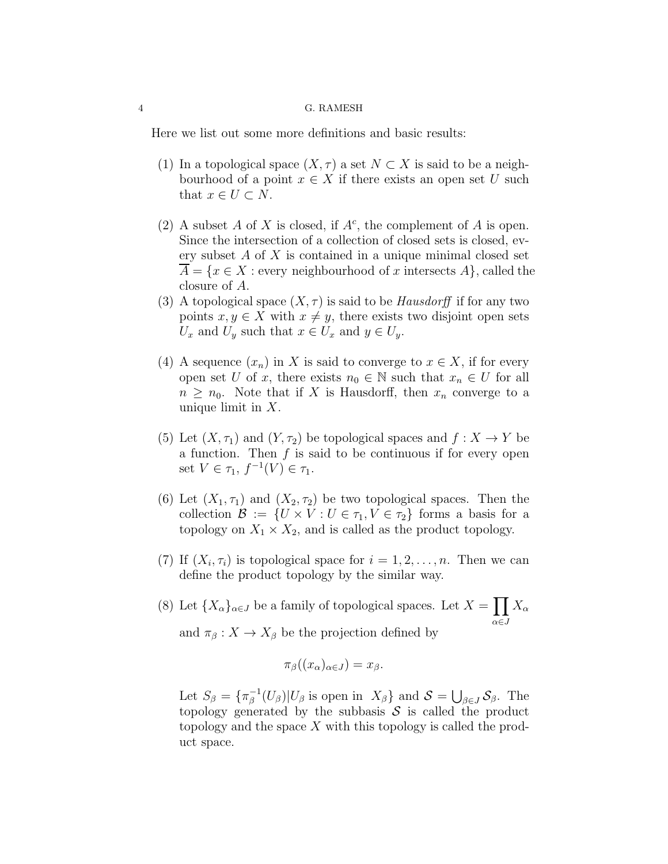Here we list out some more definitions and basic results:

- (1) In a topological space  $(X, \tau)$  a set  $N \subset X$  is said to be a neighbourhood of a point  $x \in X$  if there exists an open set U such that  $x \in U \subset N$ .
- (2) A subset A of X is closed, if  $A^c$ , the complement of A is open. Since the intersection of a collection of closed sets is closed, every subset  $A$  of  $X$  is contained in a unique minimal closed set  $\overline{A} = \{x \in X :$  every neighbourhood of x intersects  $A\}$ , called the closure of A.
- (3) A topological space  $(X, \tau)$  is said to be *Hausdorff* if for any two points  $x, y \in X$  with  $x \neq y$ , there exists two disjoint open sets  $U_x$  and  $U_y$  such that  $x \in U_x$  and  $y \in U_y$ .
- (4) A sequence  $(x_n)$  in X is said to converge to  $x \in X$ , if for every open set U of x, there exists  $n_0 \in \mathbb{N}$  such that  $x_n \in U$  for all  $n \geq n_0$ . Note that if X is Hausdorff, then  $x_n$  converge to a unique limit in  $X$ .
- (5) Let  $(X, \tau_1)$  and  $(Y, \tau_2)$  be topological spaces and  $f : X \to Y$  be a function. Then  $f$  is said to be continuous if for every open set  $V \in \tau_1, f^{-1}(V) \in \tau_1$ .
- (6) Let  $(X_1, \tau_1)$  and  $(X_2, \tau_2)$  be two topological spaces. Then the collection  $\mathcal{B} := \{U \times V : U \in \tau_1, V \in \tau_2\}$  forms a basis for a topology on  $X_1 \times X_2$ , and is called as the product topology.
- (7) If  $(X_i, \tau_i)$  is topological space for  $i = 1, 2, \ldots, n$ . Then we can define the product topology by the similar way.
- (8) Let  ${X_{\alpha}}_{\alpha\in J}$  be a family of topological spaces. Let  $X = \prod X_{\alpha}$ α∈J and  $\pi_{\beta}: X \to X_{\beta}$  be the projection defined by

$$
\pi_{\beta}((x_{\alpha})_{\alpha\in J})=x_{\beta}.
$$

Let  $S_{\beta} = {\{\pi_{\beta}^{-1}\}}$  $\mathcal{S}^{-1}(U_{\beta})|U_{\beta}$  is open in  $X_{\beta}\}\$  and  $\mathcal{S}=\bigcup_{\beta\in J}\mathcal{S}_{\beta}$ . The topology generated by the subbasis  $\mathcal S$  is called the product topology and the space  $X$  with this topology is called the product space.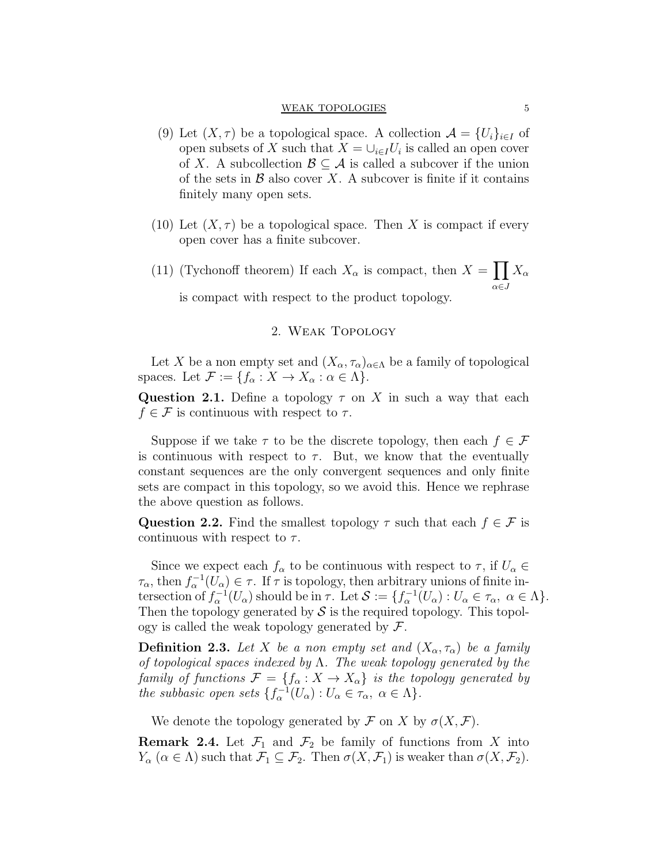#### WEAK TOPOLOGIES 5

- (9) Let  $(X, \tau)$  be a topological space. A collection  $\mathcal{A} = \{U_i\}_{i \in I}$  of open subsets of X such that  $X = \bigcup_{i \in I} U_i$  is called an open cover of X. A subcollection  $\mathcal{B} \subseteq \mathcal{A}$  is called a subcover if the union of the sets in  $\mathcal B$  also cover X. A subcover is finite if it contains finitely many open sets.
- (10) Let  $(X, \tau)$  be a topological space. Then X is compact if every open cover has a finite subcover.
- <span id="page-4-0"></span>(11) (Tychonoff theorem) If each  $X_{\alpha}$  is compact, then  $X = \prod X_{\alpha}$ α∈J is compact with respect to the product topology.

## 2. Weak Topology

Let X be a non empty set and  $(X_\alpha, \tau_\alpha)_{\alpha \in \Lambda}$  be a family of topological spaces. Let  $\mathcal{F} := \{f_{\alpha} : X \to X_{\alpha} : \alpha \in \Lambda\}.$ 

Question 2.1. Define a topology  $\tau$  on X in such a way that each  $f \in \mathcal{F}$  is continuous with respect to  $\tau$ .

Suppose if we take  $\tau$  to be the discrete topology, then each  $f \in \mathcal{F}$ is continuous with respect to  $\tau$ . But, we know that the eventually constant sequences are the only convergent sequences and only finite sets are compact in this topology, so we avoid this. Hence we rephrase the above question as follows.

Question 2.2. Find the smallest topology  $\tau$  such that each  $f \in \mathcal{F}$  is continuous with respect to  $\tau$ .

Since we expect each  $f_\alpha$  to be continuous with respect to  $\tau,$  if  $U_\alpha \in$  $\tau_{\alpha}$ , then  $f_{\alpha}^{-1}(U_{\alpha}) \in \tau$ . If  $\tau$  is topology, then arbitrary unions of finite intersection of  $f_{\alpha}^{-1}(U_{\alpha})$  should be in  $\tau$ . Let  $\mathcal{S} := \{f_{\alpha}^{-1}(U_{\alpha}) : U_{\alpha} \in \tau_{\alpha}, \ \alpha \in \Lambda\}.$ Then the topology generated by  $\mathcal S$  is the required topology. This topology is called the weak topology generated by  $\mathcal{F}.$ 

**Definition 2.3.** Let X be a non empty set and  $(X_\alpha, \tau_\alpha)$  be a family of topological spaces indexed by  $\Lambda$ . The weak topology generated by the family of functions  $\mathcal{F} = \{f_{\alpha}: X \to X_{\alpha}\}\$ is the topology generated by the subbasic open sets  $\{f_{\alpha}^{-1}(U_{\alpha}): U_{\alpha} \in \tau_{\alpha}, \ \alpha \in \Lambda\}.$ 

We denote the topology generated by F on X by  $\sigma(X,\mathcal{F})$ .

**Remark 2.4.** Let  $\mathcal{F}_1$  and  $\mathcal{F}_2$  be family of functions from X into  $Y_{\alpha}$   $(\alpha \in \Lambda)$  such that  $\mathcal{F}_1 \subseteq \mathcal{F}_2$ . Then  $\sigma(X, \mathcal{F}_1)$  is weaker than  $\sigma(X, \mathcal{F}_2)$ .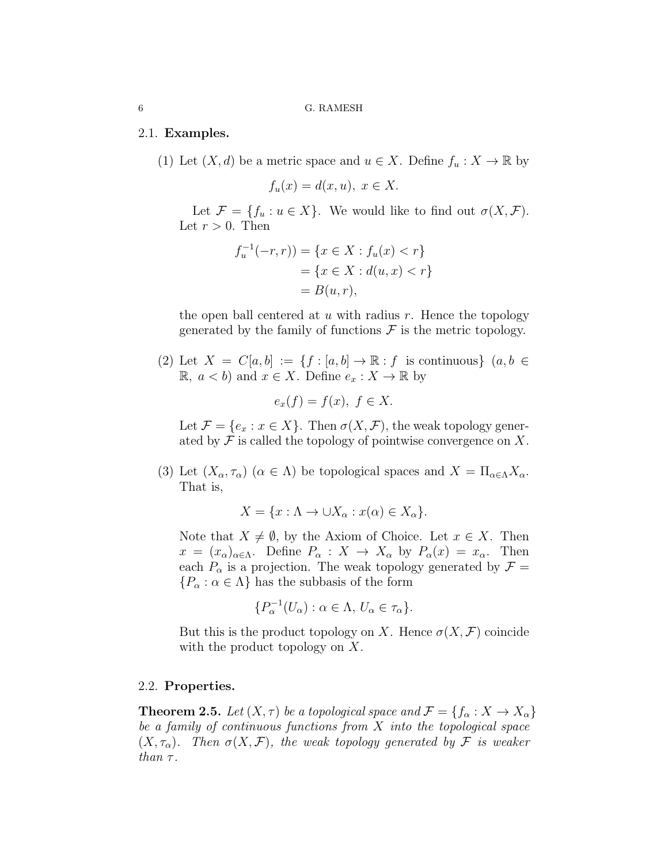### 2.1. Examples.

(1) Let  $(X, d)$  be a metric space and  $u \in X$ . Define  $f_u : X \to \mathbb{R}$  by

 $f_u(x) = d(x, u), x \in X.$ 

Let  $\mathcal{F} = \{f_u : u \in X\}$ . We would like to find out  $\sigma(X, \mathcal{F})$ . Let  $r > 0$ . Then

$$
f_u^{-1}(-r,r)) = \{x \in X : f_u(x) < r\}
$$
\n
$$
= \{x \in X : d(u,x) < r\}
$$
\n
$$
= B(u,r),
$$

the open ball centered at  $u$  with radius  $r$ . Hence the topology generated by the family of functions  $\mathcal F$  is the metric topology.

(2) Let  $X = C[a, b] := \{f : [a, b] \to \mathbb{R} : f \text{ is continuous}\}\ (a, b \in$ **R**, *a* < *b*) and *x* ∈ *X*. Define  $e_x$  : *X* → **R** by

$$
e_x(f) = f(x), \ f \in X.
$$

Let  $\mathcal{F} = \{e_x : x \in X\}$ . Then  $\sigma(X, \mathcal{F})$ , the weak topology generated by  $\mathcal F$  is called the topology of pointwise convergence on X.

(3) Let  $(X_\alpha, \tau_\alpha)$   $(\alpha \in \Lambda)$  be topological spaces and  $X = \Pi_{\alpha \in \Lambda} X_\alpha$ . That is,

$$
X = \{x : \Lambda \to \cup X_{\alpha} : x(\alpha) \in X_{\alpha}\}.
$$

Note that  $X \neq \emptyset$ , by the Axiom of Choice. Let  $x \in X$ . Then  $x = (x_{\alpha})_{\alpha \in \Lambda}$ . Define  $P_{\alpha}: X \to X_{\alpha}$  by  $P_{\alpha}(x) = x_{\alpha}$ . Then each  $P_{\alpha}$  is a projection. The weak topology generated by  $\mathcal{F} =$  ${P_\alpha : \alpha \in \Lambda}$  has the subbasis of the form

$$
\{P_\alpha^{-1}(U_\alpha):\alpha\in\Lambda,\,U_\alpha\in\tau_\alpha\}.
$$

But this is the product topology on X. Hence  $\sigma(X, \mathcal{F})$  coincide with the product topology on X.

## <span id="page-5-1"></span>2.2. Properties.

**Theorem 2.5.** Let  $(X, \tau)$  be a topological space and  $\mathcal{F} = \{f_{\alpha}: X \to X_{\alpha}\}\$ be a family of continuous functions from  $X$  into the topological space  $(X, \tau_{\alpha})$ . Then  $\sigma(X, \mathcal{F})$ , the weak topology generated by F is weaker than  $\tau$ .

<span id="page-5-0"></span>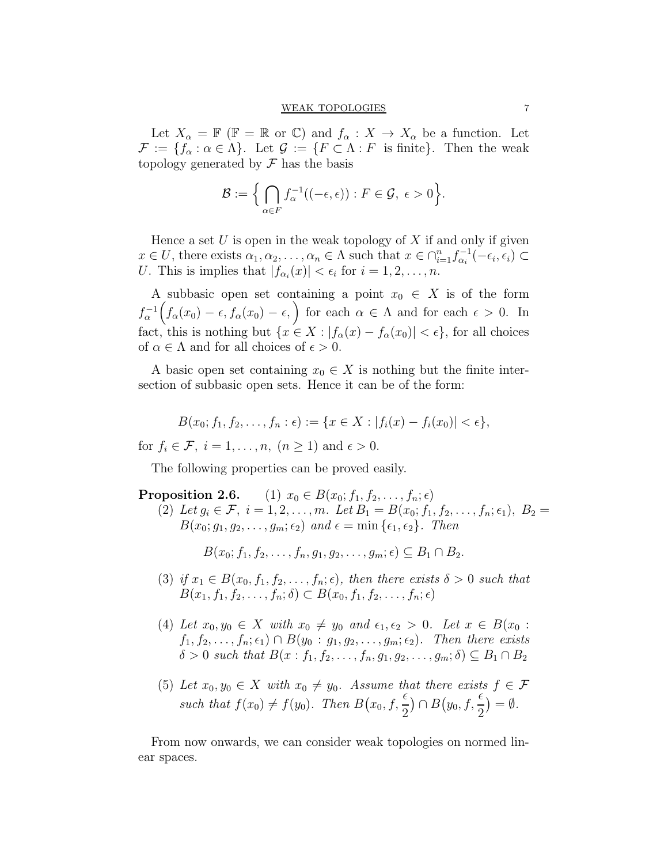Let  $X_\alpha = \mathbb{F} (\mathbb{F} = \mathbb{R}$  or  $\mathbb{C})$  and  $f_\alpha : X \to X_\alpha$  be a function. Let  $\mathcal{F} := \{f_{\alpha} : \alpha \in \Lambda\}.$  Let  $\mathcal{G} := \{F \subset \Lambda : F$  is finite}. Then the weak topology generated by  $\mathcal F$  has the basis

$$
\mathcal{B} := \Big\{ \bigcap_{\alpha \in F} f_{\alpha}^{-1}((-\epsilon, \epsilon)) : F \in \mathcal{G}, \ \epsilon > 0 \Big\}.
$$

Hence a set  $U$  is open in the weak topology of  $X$  if and only if given  $x \in U$ , there exists  $\alpha_1, \alpha_2, \ldots, \alpha_n \in \Lambda$  such that  $x \in \bigcap_{i=1}^n f_{\alpha_i}^{-1}$  $\sum_{\alpha_i}^{-1}(-\epsilon_i,\epsilon_i)\subset$ U. This is implies that  $|f_{\alpha_i}(x)| < \epsilon_i$  for  $i = 1, 2, \ldots, n$ .

A subbasic open set containing a point  $x_0 \in X$  is of the form  $f_{\alpha}^{-1}\Big(f_{\alpha}(x_0)-\epsilon,f_{\alpha}(x_0)-\epsilon, \Big)$  for each  $\alpha \in \Lambda$  and for each  $\epsilon > 0$ . In fact, this is nothing but  $\{x \in X : |f_{\alpha}(x) - f_{\alpha}(x_0)| < \epsilon\}$ , for all choices of  $\alpha \in \Lambda$  and for all choices of  $\epsilon > 0$ .

A basic open set containing  $x_0 \in X$  is nothing but the finite intersection of subbasic open sets. Hence it can be of the form:

$$
B(x_0; f_1, f_2, \dots, f_n : \epsilon) := \{ x \in X : |f_i(x) - f_i(x_0)| < \epsilon \}
$$

for  $f_i \in \mathcal{F}$ ,  $i = 1, \ldots, n$ ,  $(n \geq 1)$  and  $\epsilon > 0$ .

The following properties can be proved easily.

**Proposition 2.6.** (1)  $x_0 \in B(x_0; f_1, f_2, \ldots, f_n; \epsilon)$ (2) Let  $g_i \in \mathcal{F}, i = 1, 2, ..., m$ . Let  $B_1 = B(x_0; f_1, f_2, ..., f_n; \epsilon_1), B_2 =$  $B(x_0; g_1, g_2, \ldots, g_m; \epsilon_2)$  and  $\epsilon = \min{\{\epsilon_1, \epsilon_2\}}$ . Then

 $B(x_0; f_1, f_2, \ldots, f_n, q_1, q_2, \ldots, q_m; \epsilon) \subseteq B_1 \cap B_2.$ 

- (3) if  $x_1 \in B(x_0, f_1, f_2, \ldots, f_n; \epsilon)$ , then there exists  $\delta > 0$  such that  $B(x_1, f_1, f_2, \ldots, f_n; \delta) \subset B(x_0, f_1, f_2, \ldots, f_n; \epsilon)$
- <span id="page-6-0"></span>(4) Let  $x_0, y_0 \in X$  with  $x_0 \neq y_0$  and  $\epsilon_1, \epsilon_2 > 0$ . Let  $x \in B(x_0 :$  $f_1, f_2, \ldots, f_n; \epsilon_1) \cap B(y_0 : g_1, g_2, \ldots, g_m; \epsilon_2)$ . Then there exists  $\delta > 0$  such that  $B(x : f_1, f_2, \ldots, f_n, g_1, g_2, \ldots, g_m; \delta) \subseteq B_1 \cap B_2$
- (5) Let  $x_0, y_0 \in X$  with  $x_0 \neq y_0$ . Assume that there exists  $f \in \mathcal{F}$ such that  $f(x_0) \neq f(y_0)$ . Then  $B(x_0, f, \frac{\epsilon}{2})$ 2  $($ mathcal{Y}\_0, f, \frac{\epsilon}{2}) 2  $)= \emptyset$ .

From now onwards, we can consider weak topologies on normed linear spaces.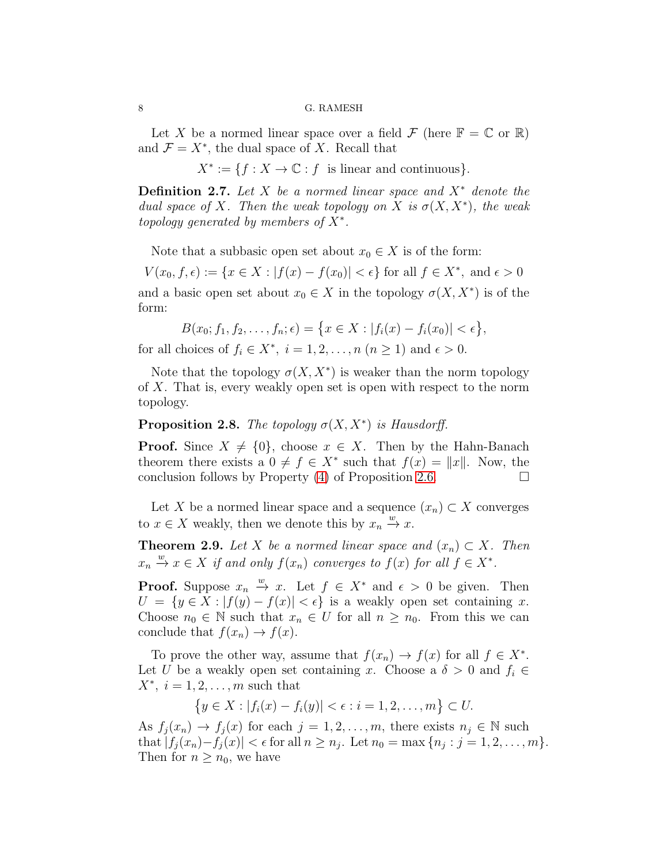Let X be a normed linear space over a field  $\mathcal F$  (here  $\mathbb F = \mathbb C$  or  $\mathbb R$ ) and  $\mathcal{F} = X^*$ , the dual space of X. Recall that

 $X^* := \{ f : X \to \mathbb{C} : f \text{ is linear and continuous} \}.$ 

**Definition 2.7.** Let X be a normed linear space and  $X^*$  denote the dual space of X. Then the weak topology on X is  $\sigma(X, X^*)$ , the weak topology generated by members of  $X^*$ .

Note that a subbasic open set about  $x_0 \in X$  is of the form:

 $V(x_0, f, \epsilon) := \{x \in X : |f(x) - f(x_0)| < \epsilon\}$  for all  $f \in X^*$ , and  $\epsilon > 0$ and a basic open set about  $x_0 \in X$  in the topology  $\sigma(X, X^*)$  is of the form:

$$
B(x_0; f_1, f_2, \dots, f_n; \epsilon) = \{x \in X : |f_i(x) - f_i(x_0)| < \epsilon\},\
$$

for all choices of  $f_i \in X^*$ ,  $i = 1, 2, ..., n$   $(n \ge 1)$  and  $\epsilon > 0$ .

Note that the topology  $\sigma(X, X^*)$  is weaker than the norm topology of X. That is, every weakly open set is open with respect to the norm topology.

**Proposition 2.8.** The topology  $\sigma(X, X^*)$  is Hausdorff.

**Proof.** Since  $X \neq \{0\}$ , choose  $x \in X$ . Then by the Hahn-Banach theorem there exists a  $0 \neq f \in X^*$  such that  $f(x) = ||x||$ . Now, the conclusion follows by Property  $(4)$  of Proposition 2.6.

Let X be a normed linear space and a sequence  $(x_n) \subset X$  converges to  $x \in X$  weakly, then we denote this by  $x_n \stackrel{w}{\to} x$ .

<span id="page-7-0"></span>**Theorem 2.9.** Let X be a normed linear space and  $(x_n) \subset X$ . Then  $x_n \xrightarrow{w} x \in X$  if and only  $f(x_n)$  converges to  $f(x)$  for all  $f \in X^*$ .

**Proof.** Suppose  $x_n \stackrel{w}{\rightarrow} x$ . Let  $f \in X^*$  and  $\epsilon > 0$  be given. Then  $U = \{y \in X : |f(y) - f(x)| < \epsilon\}$  is a weakly open set containing x. Choose  $n_0 \in \mathbb{N}$  such that  $x_n \in U$  for all  $n \geq n_0$ . From this we can conclude that  $f(x_n) \to f(x)$ .

To prove the other way, assume that  $f(x_n) \to f(x)$  for all  $f \in X^*$ . Let U be a weakly open set containing x. Choose a  $\delta > 0$  and  $f_i \in$  $X^*, i = 1, 2, \ldots, m$  such that

$$
\{y \in X : |f_i(x) - f_i(y)| < \epsilon : i = 1, 2, \dots, m\} \subset U.
$$

As  $f_j(x_n) \to f_j(x)$  for each  $j = 1, 2, \ldots, m$ , there exists  $n_j \in \mathbb{N}$  such that  $|f_j(x_n)-f_j(x)| < \epsilon$  for all  $n \ge n_j$ . Let  $n_0 = \max\{n_j : j = 1, 2, ..., m\}$ . Then for  $n \geq n_0$ , we have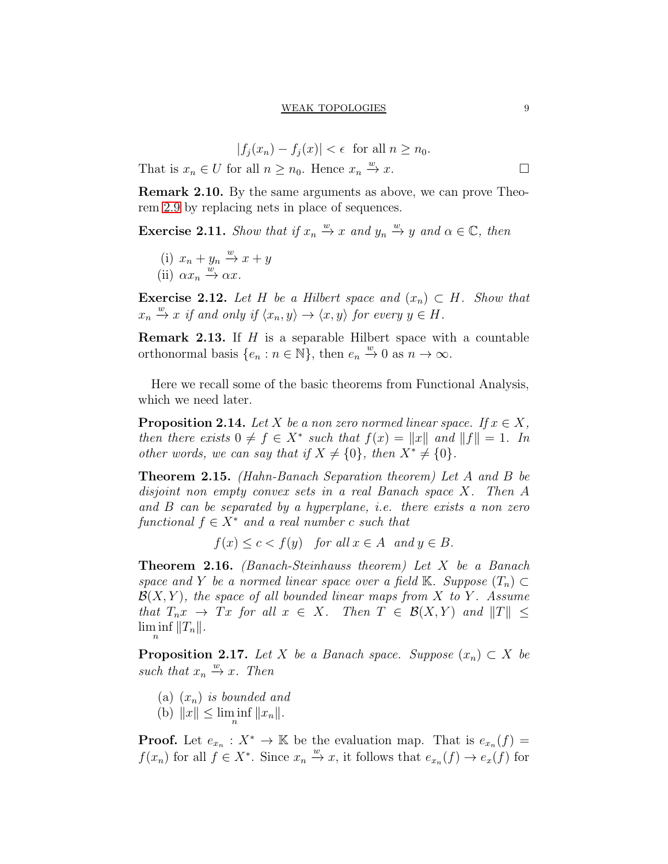$$
|f_j(x_n) - f_j(x)| < \epsilon \text{ for all } n \ge n_0.
$$
  
for all  $n \ge n_0$ . Hence  $x_n \xrightarrow{w} x$ .

Remark 2.10. By the same arguments as above, we can prove Theorem [2.9](#page-7-0) by replacing nets in place of sequences.

**Exercise 2.11.** Show that if  $x_n \stackrel{w}{\rightarrow} x$  and  $y_n \stackrel{w}{\rightarrow} y$  and  $\alpha \in \mathbb{C}$ , then

(i) 
$$
x_n + y_n \xrightarrow{w} x + y
$$
  
(ii)  $\alpha x_n \xrightarrow{w} \alpha x$ .

That is  $x_n \in U$ 

Exercise 2.12. Let H be a Hilbert space and  $(x_n) \subset H$ . Show that  $x_n \xrightarrow{w} x$  if and only if  $\langle x_n, y \rangle \rightarrow \langle x, y \rangle$  for every  $y \in H$ .

**Remark 2.13.** If  $H$  is a separable Hilbert space with a countable orthonormal basis  $\{e_n : n \in \mathbb{N}\},\$  then  $e_n \stackrel{w}{\to} 0$  as  $n \to \infty$ .

Here we recall some of the basic theorems from Functional Analysis, which we need later.

**Proposition 2.14.** Let X be a non zero normed linear space. If  $x \in X$ , then there exists  $0 \neq f \in X^*$  such that  $f(x) = ||x||$  and  $||f|| = 1$ . In other words, we can say that if  $X \neq \{0\}$ , then  $X^* \neq \{0\}$ .

Theorem 2.15. (Hahn-Banach Separation theorem) Let A and B be disjoint non empty convex sets in a real Banach space X. Then A and B can be separated by a hyperplane, i.e. there exists a non zero functional  $f \in X^*$  and a real number c such that

 $f(x) \leq c < f(y)$  for all  $x \in A$  and  $y \in B$ .

Theorem 2.16. (Banach-Steinhauss theorem) Let X be a Banach space and Y be a normed linear space over a field K. Suppose  $(T_n) \subset$  $\mathcal{B}(X, Y)$ , the space of all bounded linear maps from X to Y. Assume that  $T_n x \to Tx$  for all  $x \in X$ . Then  $T \in \mathcal{B}(X,Y)$  and  $||T|| \le$  $\liminf_n ||T_n||.$ 

**Proposition 2.17.** Let X be a Banach space. Suppose  $(x_n) \subset X$  be such that  $x_n \stackrel{w}{\rightarrow} x$ . Then

- (a)  $(x_n)$  is bounded and
- (b)  $||x|| \le \liminf_{n} ||x_n||$ .

**Proof.** Let  $e_{x_n}: X^* \to \mathbb{K}$  be the evaluation map. That is  $e_{x_n}(f) =$  $f(x_n)$  for all  $f \in X^*$ . Since  $x_n \xrightarrow{w} x$ , it follows that  $e_{x_n}(f) \to e_x(f)$  for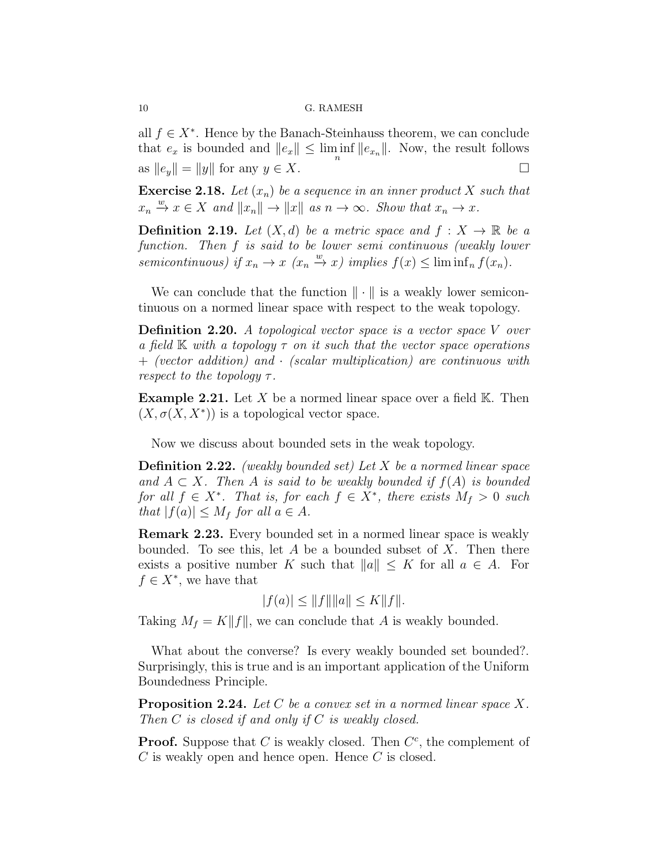all  $f \in X^*$ . Hence by the Banach-Steinhauss theorem, we can conclude that  $e_x$  is bounded and  $||e_x|| \le \liminf_n ||e_{x_n}||$ . Now, the result follows as  $||e_y|| = ||y||$  for any  $y \in X$ .

**Exercise 2.18.** Let  $(x_n)$  be a sequence in an inner product X such that  $x_n \xrightarrow{w} x \in X$  and  $||x_n|| \to ||x||$  as  $n \to \infty$ . Show that  $x_n \to x$ .

**Definition 2.19.** Let  $(X, d)$  be a metric space and  $f : X \to \mathbb{R}$  be a function. Then f is said to be lower semi continuous (weakly lower semicontinuous) if  $x_n \to x$   $(x_n \xrightarrow{w} x)$  implies  $f(x) \leq \liminf_n f(x_n)$ .

We can conclude that the function  $\|\cdot\|$  is a weakly lower semicontinuous on a normed linear space with respect to the weak topology.

**Definition 2.20.** A topological vector space is a vector space V over a field  $\mathbb K$  with a topology  $\tau$  on it such that the vector space operations  $+$  (vector addition) and  $\cdot$  (scalar multiplication) are continuous with respect to the topology  $\tau$ .

**Example 2.21.** Let X be a normed linear space over a field  $K$ . Then  $(X, \sigma(X, X^*))$  is a topological vector space.

Now we discuss about bounded sets in the weak topology.

**Definition 2.22.** (weakly bounded set) Let X be a normed linear space and  $A \subset X$ . Then A is said to be weakly bounded if  $f(A)$  is bounded for all  $f \in X^*$ . That is, for each  $f \in X^*$ , there exists  $M_f > 0$  such that  $|f(a)| \leq M_f$  for all  $a \in A$ .

Remark 2.23. Every bounded set in a normed linear space is weakly bounded. To see this, let A be a bounded subset of X. Then there exists a positive number K such that  $||a|| \leq K$  for all  $a \in A$ . For  $f \in X^*$ , we have that

$$
|f(a)| \le ||f|| ||a|| \le K ||f||.
$$

Taking  $M_f = K||f||$ , we can conclude that A is weakly bounded.

What about the converse? Is every weakly bounded set bounded?. Surprisingly, this is true and is an important application of the Uniform Boundedness Principle.

<span id="page-9-0"></span>**Proposition 2.24.** Let C be a convex set in a normed linear space X. Then  $C$  is closed if and only if  $C$  is weakly closed.

**Proof.** Suppose that C is weakly closed. Then  $C^c$ , the complement of  $C$  is weakly open and hence open. Hence  $C$  is closed.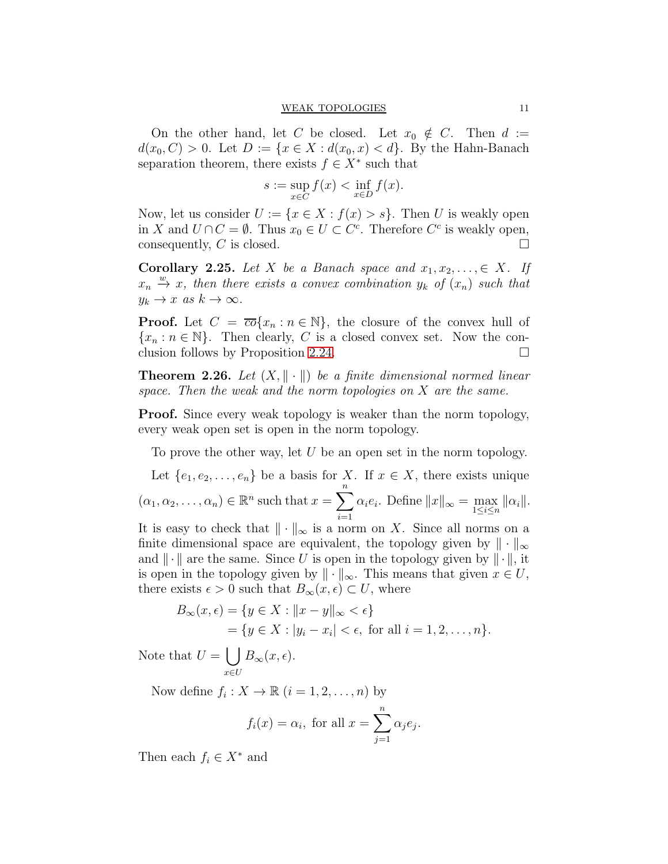#### WEAK TOPOLOGIES 11

On the other hand, let C be closed. Let  $x_0 \notin C$ . Then  $d :=$  $d(x_0, C) > 0$ . Let  $D := \{x \in X : d(x_0, x) < d\}$ . By the Hahn-Banach separation theorem, there exists  $f \in X^*$  such that

$$
s := \sup_{x \in C} f(x) < \inf_{x \in D} f(x).
$$

Now, let us consider  $U := \{x \in X : f(x) > s\}$ . Then U is weakly open in X and  $U \cap C = \emptyset$ . Thus  $x_0 \in U \subset C^c$ . Therefore  $C^c$  is weakly open, consequently, C is closed.

**Corollary 2.25.** Let X be a Banach space and  $x_1, x_2, \ldots, \in X$ . If  $x_n \stackrel{w}{\rightarrow} x$ , then there exists a convex combination  $y_k$  of  $(x_n)$  such that  $y_k \to x \text{ as } k \to \infty.$ 

**Proof.** Let  $C = \overline{co}\{x_n : n \in \mathbb{N}\}\$ , the closure of the convex hull of  ${x_n : n \in \mathbb{N}}$ . Then clearly, C is a closed convex set. Now the conclusion follows by Proposition 2.24. clusion follows by Proposition [2.24.](#page-9-0)

**Theorem 2.26.** Let  $(X, \|\cdot\|)$  be a finite dimensional normed linear space. Then the weak and the norm topologies on X are the same.

**Proof.** Since every weak topology is weaker than the norm topology, every weak open set is open in the norm topology.

To prove the other way, let  $U$  be an open set in the norm topology.

Let  $\{e_1, e_2, \ldots, e_n\}$  be a basis for X. If  $x \in X$ , there exists unique  $(\alpha_1, \alpha_2, \ldots, \alpha_n) \in \mathbb{R}^n$  such that  $x = \sum^n$  $i=1$  $\alpha_i e_i$ . Define  $||x||_{\infty} = \max_{1 \le i \le n} ||\alpha_i||$ . It is easy to check that  $\|\cdot\|_{\infty}$  is a norm on X. Since all norms on a finite dimensional space are equivalent, the topology given by  $\|\cdot\|_{\infty}$ 

and  $\|\cdot\|$  are the same. Since U is open in the topology given by  $\|\cdot\|$ , it is open in the topology given by  $\|\cdot\|_{\infty}$ . This means that given  $x \in U$ , there exists  $\epsilon > 0$  such that  $B_{\infty}(x, \epsilon) \subset U$ , where

$$
B_{\infty}(x,\epsilon) = \{ y \in X : ||x - y||_{\infty} < \epsilon \}
$$
  
=  $\{ y \in X : |y_i - x_i| < \epsilon, \text{ for all } i = 1, 2, ..., n \}.$ 

Note that  $U = \begin{pmatrix} 1 \end{pmatrix}$ x∈U  $B_{\infty}(x,\epsilon).$ 

Now define  $f_i: X \to \mathbb{R}$   $(i = 1, 2, \ldots, n)$  by

$$
f_i(x) = \alpha_i
$$
, for all  $x = \sum_{j=1}^n \alpha_j e_j$ .

Then each  $f_i \in X^*$  and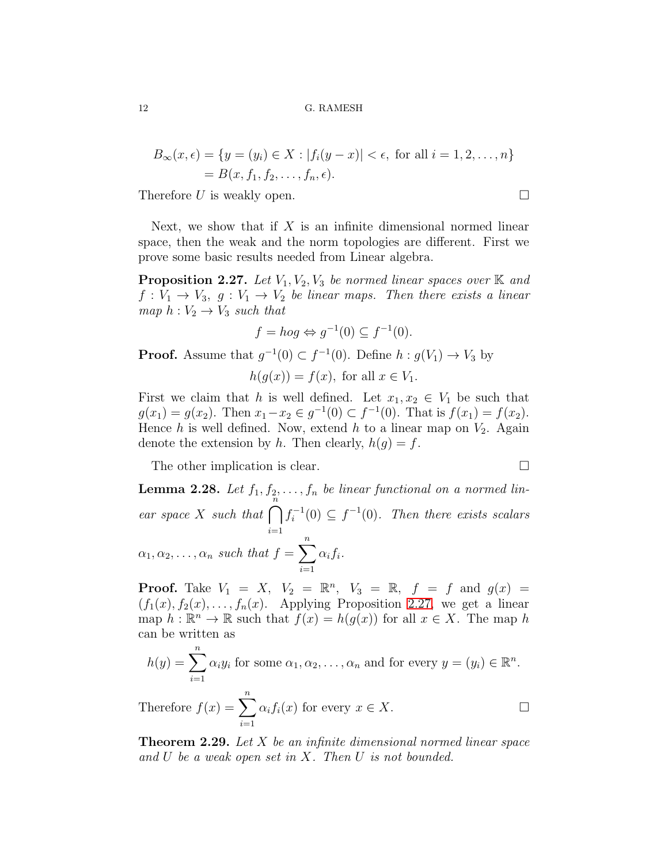$$
B_{\infty}(x,\epsilon) = \{y = (y_i) \in X : |f_i(y - x)| < \epsilon, \text{ for all } i = 1, 2, ..., n\}
$$
  
= B(x, f<sub>1</sub>, f<sub>2</sub>, ..., f<sub>n</sub>, \epsilon).

Therefore U is weakly open.  $\Box$ 

Next, we show that if  $X$  is an infinite dimensional normed linear space, then the weak and the norm topologies are different. First we prove some basic results needed from Linear algebra.

<span id="page-11-0"></span>**Proposition 2.27.** Let  $V_1, V_2, V_3$  be normed linear spaces over  $\mathbb{K}$  and  $f: V_1 \to V_3$ ,  $g: V_1 \to V_2$  be linear maps. Then there exists a linear map  $h: V_2 \to V_3$  such that

$$
f = \log \Leftrightarrow g^{-1}(0) \subseteq f^{-1}(0).
$$

**Proof.** Assume that  $g^{-1}(0) \subset f^{-1}(0)$ . Define  $h : g(V_1) \to V_3$  by

 $h(q(x)) = f(x)$ , for all  $x \in V_1$ .

First we claim that h is well defined. Let  $x_1, x_2 \in V_1$  be such that  $g(x_1) = g(x_2)$ . Then  $x_1 - x_2 \in g^{-1}(0) \subset f^{-1}(0)$ . That is  $f(x_1) = f(x_2)$ . Hence h is well defined. Now, extend h to a linear map on  $V_2$ . Again denote the extension by h. Then clearly,  $h(g) = f$ .

The other implication is clear.

**Lemma 2.28.** Let  $f_1, f_2, \ldots, f_n$  be linear functional on a normed linear space X such that  $\bigcap_{n=1}^{\infty}$  $i=1$  $f_i^{-1}$  $i_i^{-1}(0) \subseteq f^{-1}(0)$ . Then there exists scalars  $\alpha_1, \alpha_2, \ldots, \alpha_n$  such that  $f = \sum_{n=1}^n$  $i=1$  $\alpha_i f_i.$ 

**Proof.** Take  $V_1 = X$ ,  $V_2 = \mathbb{R}^n$ ,  $V_3 = \mathbb{R}$ ,  $f = f$  and  $g(x) =$  $(f_1(x), f_2(x), \ldots, f_n(x))$ . Applying Proposition [2.27,](#page-11-0) we get a linear map  $h : \mathbb{R}^n \to \mathbb{R}$  such that  $f(x) = h(g(x))$  for all  $x \in X$ . The map h can be written as

$$
h(y) = \sum_{i=1}^{n} \alpha_i y_i
$$
 for some  $\alpha_1, \alpha_2, ..., \alpha_n$  and for every  $y = (y_i) \in \mathbb{R}^n$ .

Therefore 
$$
f(x) = \sum_{i=1}^{n} \alpha_i f_i(x)
$$
 for every  $x \in X$ .

<span id="page-11-1"></span>**Theorem 2.29.** Let X be an infinite dimensional normed linear space and U be a weak open set in X. Then U is not bounded.

$$
\qquad \qquad \Box
$$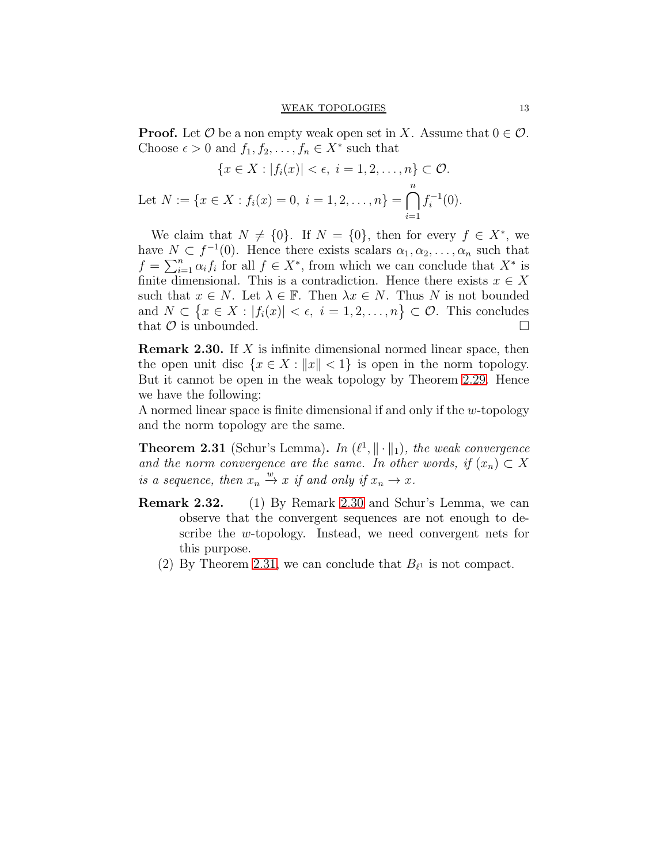**Proof.** Let  $\mathcal{O}$  be a non empty weak open set in X. Assume that  $0 \in \mathcal{O}$ . Choose  $\epsilon > 0$  and  $f_1, f_2, \ldots, f_n \in X^*$  such that

$$
\{x \in X : |f_i(x)| < \epsilon, \ i = 1, 2, \dots, n\} \subset \mathcal{O}.
$$
\nLet  $N := \{x \in X : f_i(x) = 0, \ i = 1, 2, \dots, n\} = \bigcap_{i=1}^{n} f_i^{-1}(0).$ 

We claim that  $N \neq \{0\}$ . If  $N = \{0\}$ , then for every  $f \in X^*$ , we have  $N \subset f^{-1}(0)$ . Hence there exists scalars  $\alpha_1, \alpha_2, \ldots, \alpha_n$  such that  $f = \sum_{i=1}^n \alpha_i f_i$  for all  $f \in X^*$ , from which we can conclude that  $X^*$  is finite dimensional. This is a contradiction. Hence there exists  $x \in X$ such that  $x \in N$ . Let  $\lambda \in \mathbb{F}$ . Then  $\lambda x \in N$ . Thus N is not bounded and  $N \subset \{x \in X : |f_i(x)| < \epsilon, i = 1, 2, ..., n\} \subset \mathcal{O}$ . This concludes that  $\mathcal O$  is unbounded.

<span id="page-12-0"></span>Remark 2.30. If X is infinite dimensional normed linear space, then the open unit disc  $\{x \in X : ||x|| < 1\}$  is open in the norm topology. But it cannot be open in the weak topology by Theorem [2.29.](#page-11-1) Hence we have the following:

A normed linear space is finite dimensional if and only if the w-topology and the norm topology are the same.

<span id="page-12-1"></span>**Theorem 2.31** (Schur's Lemma). In  $(\ell^1, \|\cdot\|_1)$ , the weak convergence and the norm convergence are the same. In other words, if  $(x_n) \subset X$ is a sequence, then  $x_n \xrightarrow{w} x$  if and only if  $x_n \to x$ .

- Remark 2.32. (1) By Remark [2.30](#page-12-0) and Schur's Lemma, we can observe that the convergent sequences are not enough to describe the w-topology. Instead, we need convergent nets for this purpose.
	- (2) By Theorem [2.31,](#page-12-1) we can conclude that  $B_{\ell^1}$  is not compact.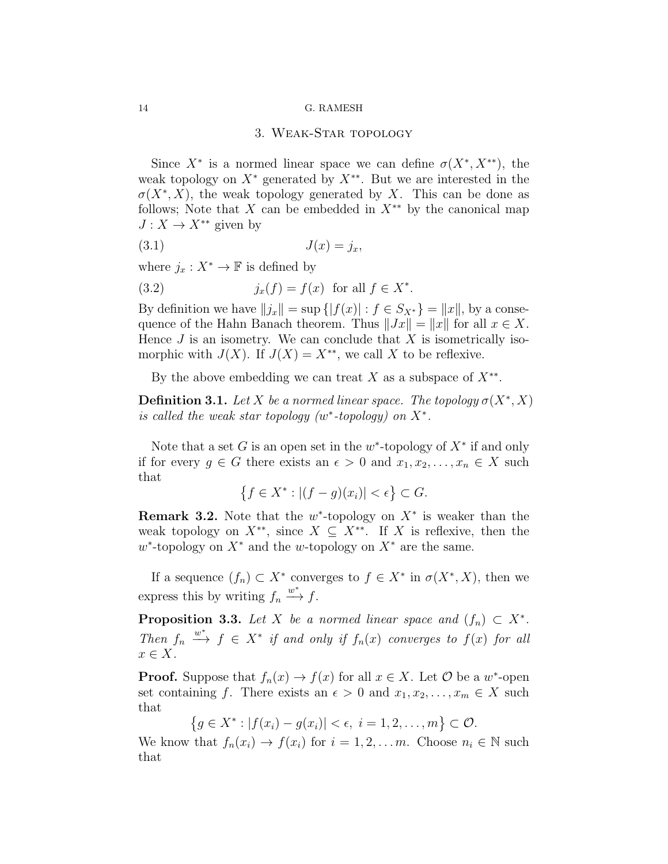### 3. Weak-Star topology

<span id="page-13-0"></span>Since  $X^*$  is a normed linear space we can define  $\sigma(X^*, X^{**})$ , the weak topology on  $X^*$  generated by  $X^{**}$ . But we are interested in the  $\sigma(X^*, X)$ , the weak topology generated by X. This can be done as follows; Note that X can be embedded in  $X^{**}$  by the canonical map  $J: X \to X^{**}$  given by

$$
(3.1) \t\t J(x) = j_x,
$$

where  $j_x : X^* \to \mathbb{F}$  is defined by

(3.2) 
$$
j_x(f) = f(x) \text{ for all } f \in X^*.
$$

By definition we have  $||j_x|| = \sup \{|f(x)| : f \in S_{X^*}\} = ||x||$ , by a consequence of the Hahn Banach theorem. Thus  $||Jx|| = ||x||$  for all  $x \in X$ . Hence  $J$  is an isometry. We can conclude that  $X$  is isometrically isomorphic with  $J(X)$ . If  $J(X) = X^{**}$ , we call X to be reflexive.

By the above embedding we can treat X as a subspace of  $X^{**}$ .

**Definition 3.1.** Let X be a normed linear space. The topology  $\sigma(X^*, X)$ is called the weak star topology  $(w^*$ -topology) on  $X^*$ .

Note that a set G is an open set in the  $w^*$ -topology of  $X^*$  if and only if for every  $g \in G$  there exists an  $\epsilon > 0$  and  $x_1, x_2, \ldots, x_n \in X$  such that

$$
\left\{f \in X^* : |(f - g)(x_i)| < \epsilon\right\} \subset G.
$$

**Remark 3.2.** Note that the  $w^*$ -topology on  $X^*$  is weaker than the weak topology on  $X^{**}$ , since  $X \subseteq X^{**}$ . If X is reflexive, then the  $w^*$ -topology on  $X^*$  and the w-topology on  $X^*$  are the same.

If a sequence  $(f_n) \subset X^*$  converges to  $f \in X^*$  in  $\sigma(X^*, X)$ , then we express this by writing  $f_n \xrightarrow{w^*} f$ .

**Proposition 3.3.** Let X be a normed linear space and  $(f_n) \subset X^*$ . Then  $f_n \stackrel{w^*}{\longrightarrow} f \in X^*$  if and only if  $f_n(x)$  converges to  $f(x)$  for all  $x \in X$ .

**Proof.** Suppose that  $f_n(x) \to f(x)$  for all  $x \in X$ . Let  $\mathcal{O}$  be a w<sup>\*</sup>-open set containing f. There exists an  $\epsilon > 0$  and  $x_1, x_2, \ldots, x_m \in X$  such that

$$
\{g \in X^* : |f(x_i) - g(x_i)| < \epsilon, \ i = 1, 2, \dots, m\} \subset \mathcal{O}.
$$

We know that  $f_n(x_i) \to f(x_i)$  for  $i = 1, 2, \ldots m$ . Choose  $n_i \in \mathbb{N}$  such that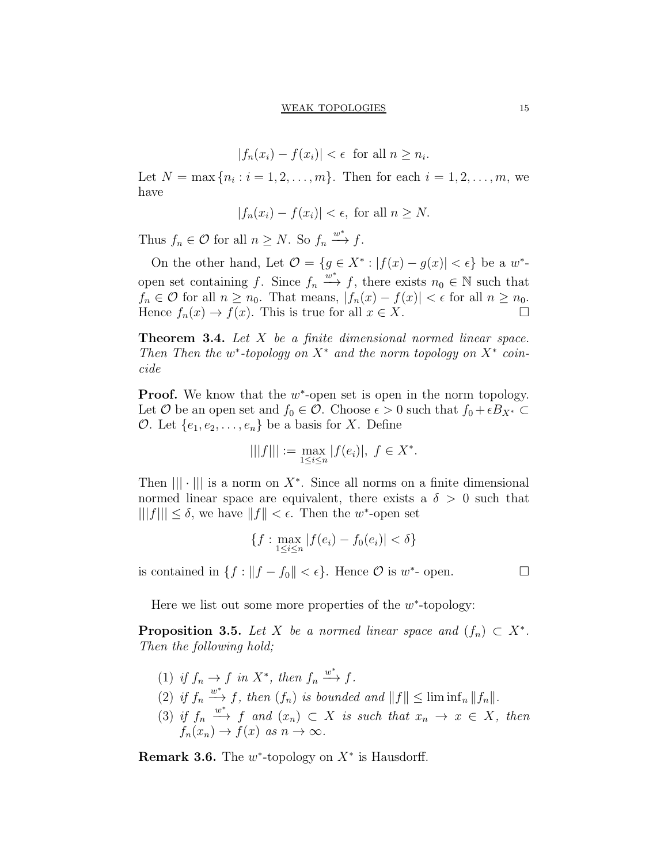$$
|f_n(x_i) - f(x_i)| < \epsilon \quad \text{for all } n \ge n_i.
$$

Let  $N = \max\{n_i : i = 1, 2, ..., m\}$ . Then for each  $i = 1, 2, ..., m$ , we have

$$
|f_n(x_i) - f(x_i)| < \epsilon, \text{ for all } n \ge N.
$$

Thus  $f_n \in \mathcal{O}$  for all  $n \geq N$ . So  $f_n \xrightarrow{w^*} f$ .

On the other hand, Let  $\mathcal{O} = \{g \in X^* : |f(x) - g(x)| < \epsilon\}$  be a  $w^*$ open set containing f. Since  $f_n \xrightarrow{w^*} f$ , there exists  $n_0 \in \mathbb{N}$  such that  $f_n \in \mathcal{O}$  for all  $n \geq n_0$ . That means,  $|f_n(x) - f(x)| < \epsilon$  for all  $n \geq n_0$ . Hence  $f_n(x) \to f(x)$ . This is true for all  $x \in X$ .

**Theorem 3.4.** Let X be a finite dimensional normed linear space. Then Then the w<sup>\*</sup>-topology on  $X^*$  and the norm topology on  $X^*$  coincide

**Proof.** We know that the  $w^*$ -open set is open in the norm topology. Let O be an open set and  $f_0 \in \mathcal{O}$ . Choose  $\epsilon > 0$  such that  $f_0 + \epsilon B_{X^*} \subset$ O. Let  $\{e_1, e_2, \ldots, e_n\}$  be a basis for X. Define

$$
|||f||| := \max_{1 \le i \le n} |f(e_i)|, \ f \in X^*.
$$

Then  $|||\cdot|||$  is a norm on  $X^*$ . Since all norms on a finite dimensional normed linear space are equivalent, there exists a  $\delta > 0$  such that  $|||f||| \le \delta$ , we have  $||f|| < \epsilon$ . Then the w<sup>\*</sup>-open set

$$
\{f: \max_{1 \le i \le n} |f(e_i) - f_0(e_i)| < \delta\}
$$

is contained in  $\{f : ||f - f_0|| < \epsilon\}$ . Hence  $\mathcal O$  is  $w^*$ - open.  $\Box$ 

Here we list out some more properties of the  $w^*$ -topology:

**Proposition 3.5.** Let X be a normed linear space and  $(f_n) \subset X^*$ . Then the following hold;

- (1) if  $f_n \to f$  in  $X^*$ , then  $f_n \xrightarrow{w^*} f$ .
- (2) if  $f_n \stackrel{w^*}{\longrightarrow} f$ , then  $(f_n)$  is bounded and  $||f|| \leq \liminf_n ||f_n||$ .
- (3) if  $f_n \stackrel{w^*}{\longrightarrow} f$  and  $(x_n) \subset X$  is such that  $x_n \to x \in X$ , then  $f_n(x_n) \to f(x)$  as  $n \to \infty$ .

**Remark 3.6.** The  $w^*$ -topology on  $X^*$  is Hausdorff.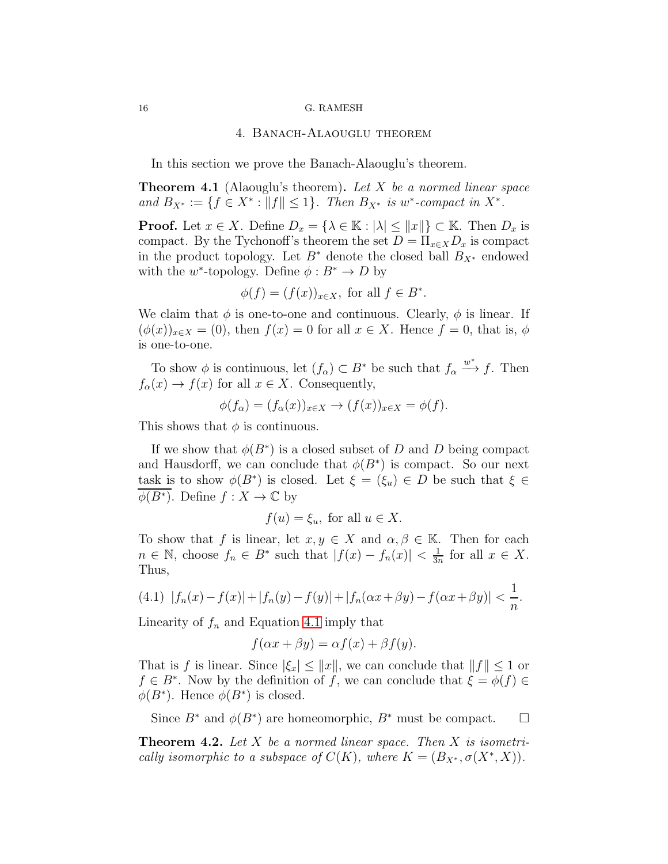### 4. Banach-Alaouglu theorem

<span id="page-15-0"></span>In this section we prove the Banach-Alaouglu's theorem.

**Theorem 4.1** (Alaouglu's theorem). Let X be a normed linear space and  $B_{X^*} := \{ f \in X^* : ||f|| \le 1 \}.$  Then  $B_{X^*}$  is w\*-compact in  $X^*$ .

**Proof.** Let  $x \in X$ . Define  $D_x = \{\lambda \in \mathbb{K} : |\lambda| \leq ||x||\} \subset \mathbb{K}$ . Then  $D_x$  is compact. By the Tychonoff's theorem the set  $D = \prod_{x \in X} D_x$  is compact in the product topology. Let  $B^*$  denote the closed ball  $B_{X^*}$  endowed with the  $w^*$ -topology. Define  $\phi: B^* \to D$  by

$$
\phi(f) = (f(x))_{x \in X}, \text{ for all } f \in B^*.
$$

We claim that  $\phi$  is one-to-one and continuous. Clearly,  $\phi$  is linear. If  $(\phi(x))_{x\in X} = (0)$ , then  $f(x) = 0$  for all  $x \in X$ . Hence  $f = 0$ , that is,  $\phi$ is one-to-one.

To show  $\phi$  is continuous, let  $(f_{\alpha}) \subset B^*$  be such that  $f_{\alpha} \xrightarrow{w^*} f$ . Then  $f_{\alpha}(x) \to f(x)$  for all  $x \in X$ . Consequently,

$$
\phi(f_{\alpha}) = (f_{\alpha}(x))_{x \in X} \to (f(x))_{x \in X} = \phi(f).
$$

This shows that  $\phi$  is continuous.

If we show that  $\phi(B^*)$  is a closed subset of D and D being compact and Hausdorff, we can conclude that  $\phi(B^*)$  is compact. So our next task is to show  $\phi(B^*)$  is closed. Let  $\xi = (\xi_u) \in D$  be such that  $\xi \in$  $\overline{\phi(B^*)}$ . Define  $f: X \to \mathbb{C}$  by

$$
f(u) = \xi_u, \text{ for all } u \in X.
$$

To show that f is linear, let  $x, y \in X$  and  $\alpha, \beta \in \mathbb{K}$ . Then for each  $n \in \mathbb{N}$ , choose  $f_n \in B^*$  such that  $|f(x) - f_n(x)| < \frac{1}{3n}$  $\frac{1}{3n}$  for all  $x \in X$ . Thus,

<span id="page-15-1"></span>(4.1) 
$$
|f_n(x) - f(x)| + |f_n(y) - f(y)| + |f_n(\alpha x + \beta y) - f(\alpha x + \beta y)| < \frac{1}{n}
$$
.

Linearity of  $f_n$  and Equation [4.1](#page-15-1) imply that

$$
f(\alpha x + \beta y) = \alpha f(x) + \beta f(y).
$$

That is f is linear. Since  $|\xi_x| \le ||x||$ , we can conclude that  $||f|| \le 1$  or  $f \in B^*$ . Now by the definition of f, we can conclude that  $\xi = \phi(f) \in$  $\phi(B^*)$ . Hence  $\phi(B^*)$  is closed.

Since  $B^*$  and  $\phi(B^*)$  are homeomorphic,  $B^*$  must be compact.  $\Box$ 

**Theorem 4.2.** Let X be a normed linear space. Then X is isometrically isomorphic to a subspace of  $C(K)$ , where  $K = (B_{X^*}, \sigma(X^*, X)).$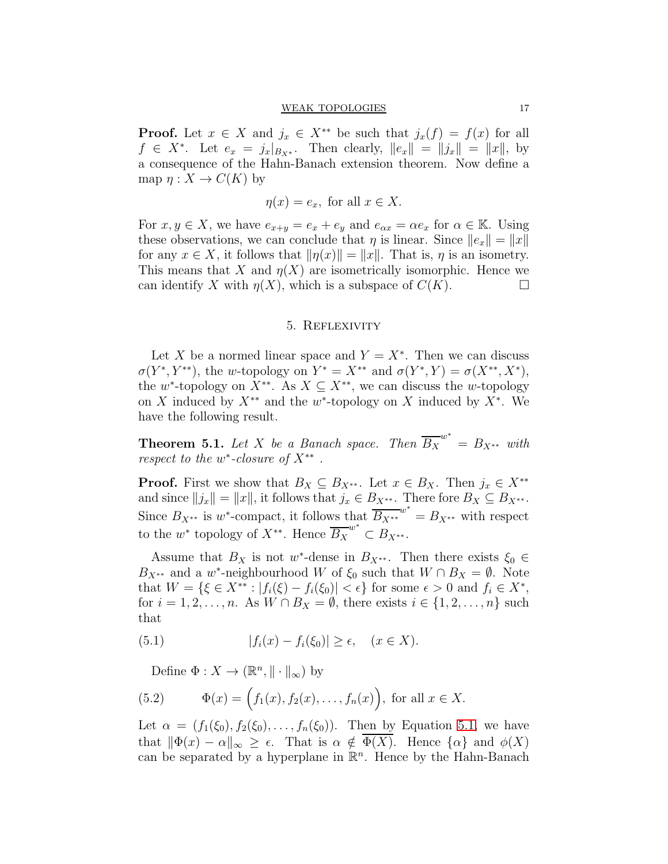**Proof.** Let  $x \in X$  and  $j_x \in X^{**}$  be such that  $j_x(f) = f(x)$  for all  $f \in X^*$ . Let  $e_x = j_x |_{B_{X^*}}$ . Then clearly,  $||e_x|| = ||j_x|| = ||x||$ , by a consequence of the Hahn-Banach extension theorem. Now define a map  $\eta: X \to C(K)$  by

$$
\eta(x) = e_x, \text{ for all } x \in X.
$$

For  $x, y \in X$ , we have  $e_{x+y} = e_x + e_y$  and  $e_{\alpha x} = \alpha e_x$  for  $\alpha \in \mathbb{K}$ . Using these observations, we can conclude that  $\eta$  is linear. Since  $||e_x|| = ||x||$ for any  $x \in X$ , it follows that  $\|\eta(x)\| = \|x\|$ . That is,  $\eta$  is an isometry. This means that X and  $\eta(X)$  are isometrically isomorphic. Hence we can identify X with  $\eta(X)$ , which is a subspace of  $C(K)$ .

### 5. Reflexivity

<span id="page-16-0"></span>Let X be a normed linear space and  $Y = X^*$ . Then we can discuss  $\sigma(Y^*, Y^{**})$ , the w-topology on  $Y^* = X^{**}$  and  $\sigma(Y^*, Y) = \sigma(X^{**}, X^*)$ , the w<sup>\*</sup>-topology on  $X^{**}$ . As  $X \subseteq X^{**}$ , we can discuss the w-topology on X induced by  $X^{**}$  and the w<sup>\*</sup>-topology on X induced by  $X^*$ . We have the following result.

<span id="page-16-2"></span>**Theorem 5.1.** Let X be a Banach space. Then  $\overline{B_X}^{w^*} = B_{X^{**}}$  with respect to the  $w^*$ -closure of  $X^{**}$ .

**Proof.** First we show that  $B_X \subseteq B_{X^{**}}$ . Let  $x \in B_X$ . Then  $j_x \in X^{**}$ and since  $||j_x|| = ||x||$ , it follows that  $j_x \in B_{X^{**}}$ . There fore  $B_X \subseteq B_{X^{**}}$ . Since  $B_{X^{**}}$  is w\*-compact, it follows that  $B_{X^{**}}^{w^*} = B_{X^{**}}$  with respect to the  $w^*$  topology of  $X^{**}$ . Hence  $\overline{B_X}^{w^*} \subset B_{X^{**}}$ .

Assume that  $B_X$  is not w<sup>\*</sup>-dense in  $B_{X^{**}}$ . Then there exists  $\xi_0 \in$  $B_{X^{**}}$  and a w<sup>\*</sup>-neighbourhood W of  $\xi_0$  such that  $W \cap B_X = \emptyset$ . Note that  $W = \{ \xi \in X^{**} : |f_i(\xi) - f_i(\xi_0)| < \epsilon \}$  for some  $\epsilon > 0$  and  $f_i \in X^*$ , for  $i = 1, 2, \ldots, n$ . As  $W \cap B_X = \emptyset$ , there exists  $i \in \{1, 2, \ldots, n\}$  such that

(5.1) 
$$
|f_i(x) - f_i(\xi_0)| \ge \epsilon, \quad (x \in X).
$$

<span id="page-16-1"></span>Define  $\Phi: X \to (\mathbb{R}^n, \|\cdot\|_{\infty})$  by

(5.2) 
$$
\Phi(x) = (f_1(x), f_2(x), \dots, f_n(x)), \text{ for all } x \in X.
$$

Let  $\alpha = (f_1(\xi_0), f_2(\xi_0), \ldots, f_n(\xi_0))$ . Then by Equation [5.1,](#page-16-1) we have that  $\|\Phi(x) - \alpha\|_{\infty} \geq \epsilon$ . That is  $\alpha \notin \Phi(X)$ . Hence  $\{\alpha\}$  and  $\phi(X)$ . can be separated by a hyperplane in  $\mathbb{R}^n$ . Hence by the Hahn-Banach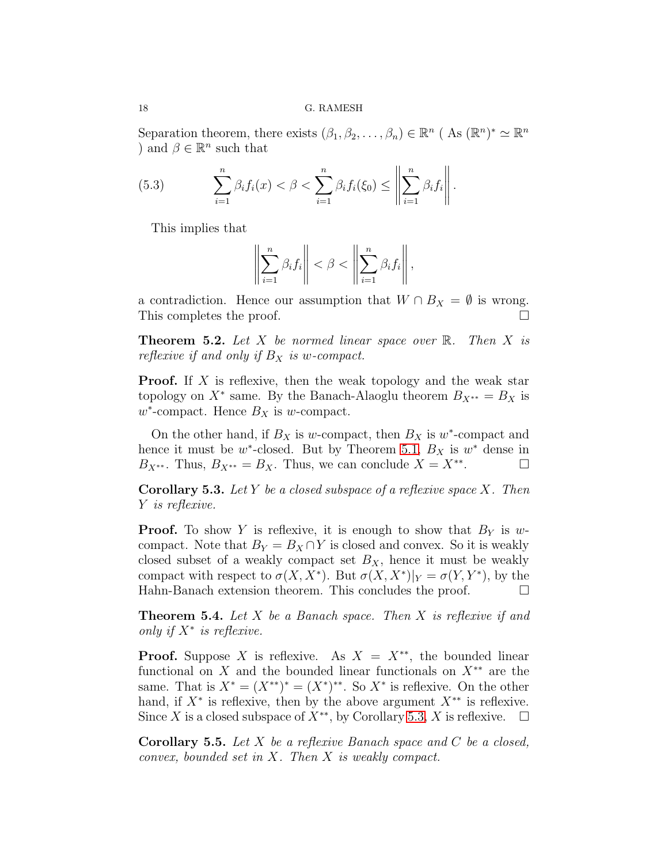Separation theorem, there exists  $(\beta_1, \beta_2, \dots, \beta_n) \in \mathbb{R}^n$  (As  $(\mathbb{R}^n)^* \simeq \mathbb{R}^n$ ) and  $\beta \in \mathbb{R}^n$  such that

(5.3) 
$$
\sum_{i=1}^n \beta_i f_i(x) < \beta < \sum_{i=1}^n \beta_i f_i(\xi_0) \leq \left\| \sum_{i=1}^n \beta_i f_i \right\|.
$$

This implies that

$$
\left\| \sum_{i=1}^n \beta_i f_i \right\| < \beta < \left\| \sum_{i=1}^n \beta_i f_i \right\|,
$$

a contradiction. Hence our assumption that  $W \cap B_X = \emptyset$  is wrong.<br>This completes the proof This completes the proof.

**Theorem 5.2.** Let X be normed linear space over  $\mathbb{R}$ . Then X is reflexive if and only if  $B<sub>X</sub>$  is w-compact.

**Proof.** If X is reflexive, then the weak topology and the weak star topology on  $X^*$  same. By the Banach-Alaoglu theorem  $B_{X^{**}} = B_X$  is  $w^*$ -compact. Hence  $B_X$  is w-compact.

On the other hand, if  $B_X$  is w-compact, then  $B_X$  is w<sup>\*</sup>-compact and hence it must be  $w^*$ -closed. But by Theorem [5.1,](#page-16-2)  $B_X$  is  $w^*$  dense in  $B_{X^{**}}$ . Thus,  $B_{X^{**}} = B_X$ . Thus, we can conclude  $X = X^{**}$ . . — П

<span id="page-17-0"></span>**Corollary 5.3.** Let Y be a closed subspace of a reflexive space X. Then Y is reflexive.

**Proof.** To show Y is reflexive, it is enough to show that  $B<sub>Y</sub>$  is wcompact. Note that  $B_Y = B_X \cap Y$  is closed and convex. So it is weakly closed subset of a weakly compact set  $B_X$ , hence it must be weakly compact with respect to  $\sigma(X, X^*)$ . But  $\sigma(X, X^*)|_Y = \sigma(Y, Y^*)$ , by the Hahn-Banach extension theorem. This concludes the proof.

**Theorem 5.4.** Let X be a Banach space. Then X is reflexive if and only if  $X^*$  is reflexive.

**Proof.** Suppose X is reflexive. As  $X = X^{**}$ , the bounded linear functional on X and the bounded linear functionals on  $X^{**}$  are the same. That is  $X^* = (X^{**})^* = (X^*)^{**}$ . So  $X^*$  is reflexive. On the other hand, if  $X^*$  is reflexive, then by the above argument  $X^{**}$  is reflexive. Since X is a closed subspace of  $X^{**}$ , by Corollary [5.3,](#page-17-0) X is reflexive.  $\Box$ 

**Corollary 5.5.** Let X be a reflexive Banach space and C be a closed, convex, bounded set in X. Then X is weakly compact.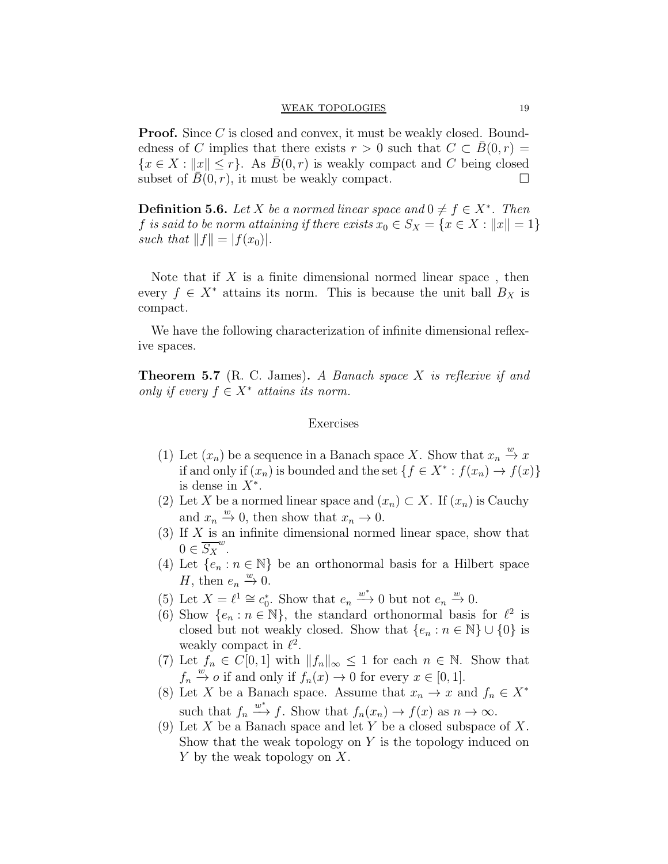**Proof.** Since C is closed and convex, it must be weakly closed. Boundedness of C implies that there exists  $r > 0$  such that  $C \subset B(0,r) =$  $\{x \in X : ||x|| \leq r\}$ . As  $B(0, r)$  is weakly compact and C being closed subset of  $\overline{B}(0, r)$ , it must be weakly compact. subset of  $B(0, r)$ , it must be weakly compact.

**Definition 5.6.** Let X be a normed linear space and  $0 \neq f \in X^*$ . Then f is said to be norm attaining if there exists  $x_0 \in S_X = \{x \in X : ||x|| = 1\}$ such that  $||f|| = |f(x_0)|$ .

Note that if  $X$  is a finite dimensional normed linear space, then every  $f \in X^*$  attains its norm. This is because the unit ball  $B_X$  is compact.

We have the following characterization of infinite dimensional reflexive spaces.

**Theorem 5.7** (R. C. James). A Banach space X is reflexive if and only if every  $f \in X^*$  attains its norm.

### Exercises

- (1) Let  $(x_n)$  be a sequence in a Banach space X. Show that  $x_n \stackrel{w}{\rightarrow} x$ if and only if  $(x_n)$  is bounded and the set  $\{f \in X^* : f(x_n) \to f(x)\}$ is dense in  $X^*$ .
- (2) Let X be a normed linear space and  $(x_n) \subset X$ . If  $(x_n)$  is Cauchy and  $x_n \stackrel{w}{\rightarrow} 0$ , then show that  $x_n \rightarrow 0$ .
- (3) If X is an infinite dimensional normed linear space, show that  $0 \in \overline{S_X}^w$ .
- (4) Let  $\{e_n : n \in \mathbb{N}\}\$ be an orthonormal basis for a Hilbert space H, then  $e_n \stackrel{w}{\rightarrow} 0$ .
- (5) Let  $X = \ell^1 \cong c_0^*$ . Show that  $e_n \xrightarrow{w^*} 0$  but not  $e_n \xrightarrow{w} 0$ .
- (6) Show  $\{e_n : n \in \mathbb{N}\}\$ , the standard orthonormal basis for  $\ell^2$  is closed but not weakly closed. Show that  $\{e_n : n \in \mathbb{N}\} \cup \{0\}$  is weakly compact in  $\ell^2$ .
- (7) Let  $f_n \in C[0,1]$  with  $||f_n||_{\infty} \leq 1$  for each  $n \in \mathbb{N}$ . Show that  $f_n \stackrel{w}{\to} o$  if and only if  $f_n(x) \to 0$  for every  $x \in [0,1]$ .
- (8) Let X be a Banach space. Assume that  $x_n \to x$  and  $f_n \in X^*$ such that  $f_n \xrightarrow{w^*} f$ . Show that  $f_n(x_n) \to f(x)$  as  $n \to \infty$ .
- (9) Let X be a Banach space and let Y be a closed subspace of X. Show that the weak topology on  $Y$  is the topology induced on Y by the weak topology on X.